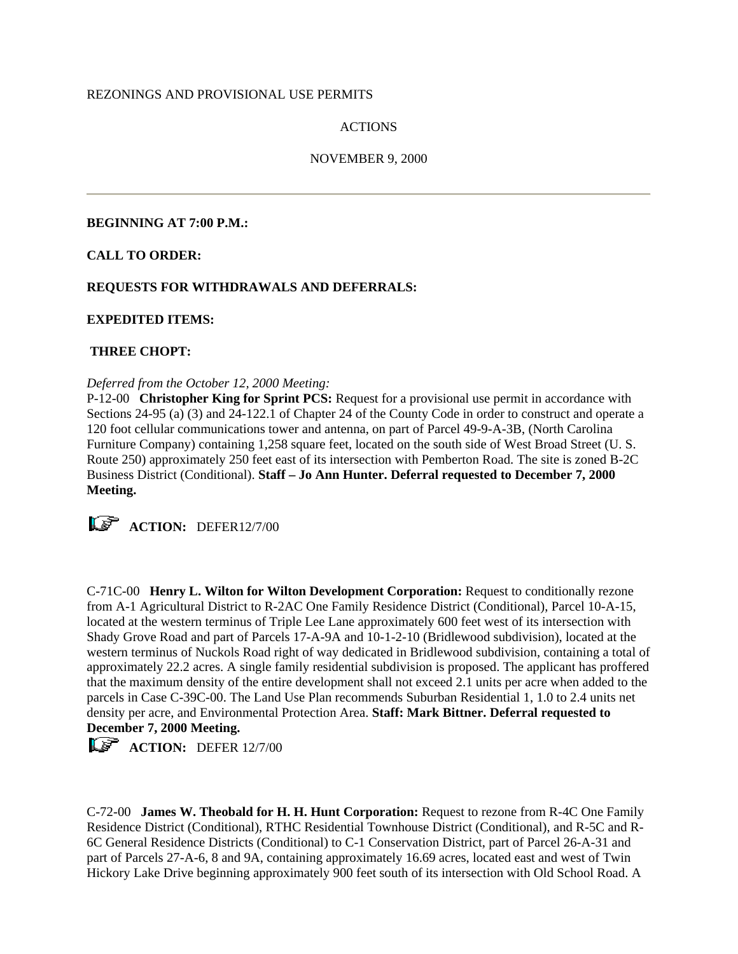### REZONINGS AND PROVISIONAL USE PERMITS

### ACTIONS

### NOVEMBER 9, 2000

#### **BEGINNING AT 7:00 P.M.:**

### **CALL TO ORDER:**

## **REQUESTS FOR WITHDRAWALS AND DEFERRALS:**

### **EXPEDITED ITEMS:**

### **THREE CHOPT:**

#### *Deferred from the October 12, 2000 Meeting:*

P-12-00 **Christopher King for Sprint PCS:** Request for a provisional use permit in accordance with Sections 24-95 (a) (3) and 24-122.1 of Chapter 24 of the County Code in order to construct and operate a 120 foot cellular communications tower and antenna, on part of Parcel 49-9-A-3B, (North Carolina Furniture Company) containing 1,258 square feet, located on the south side of West Broad Street (U. S. Route 250) approximately 250 feet east of its intersection with Pemberton Road. The site is zoned B-2C Business District (Conditional). **Staff – Jo Ann Hunter. Deferral requested to December 7, 2000 Meeting.**

**ACTION:** DEFER12/7/00

C-71C-00 **Henry L. Wilton for Wilton Development Corporation:** Request to conditionally rezone from A-1 Agricultural District to R-2AC One Family Residence District (Conditional), Parcel 10-A-15, located at the western terminus of Triple Lee Lane approximately 600 feet west of its intersection with Shady Grove Road and part of Parcels 17-A-9A and 10-1-2-10 (Bridlewood subdivision), located at the western terminus of Nuckols Road right of way dedicated in Bridlewood subdivision, containing a total of approximately 22.2 acres. A single family residential subdivision is proposed. The applicant has proffered that the maximum density of the entire development shall not exceed 2.1 units per acre when added to the parcels in Case C-39C-00. The Land Use Plan recommends Suburban Residential 1, 1.0 to 2.4 units net density per acre, and Environmental Protection Area. **Staff: Mark Bittner. Deferral requested to December 7, 2000 Meeting.**

**ACTION:** DEFER 12/7/00

C-72-00 **James W. Theobald for H. H. Hunt Corporation:** Request to rezone from R-4C One Family Residence District (Conditional), RTHC Residential Townhouse District (Conditional), and R-5C and R-6C General Residence Districts (Conditional) to C-1 Conservation District, part of Parcel 26-A-31 and part of Parcels 27-A-6, 8 and 9A, containing approximately 16.69 acres, located east and west of Twin Hickory Lake Drive beginning approximately 900 feet south of its intersection with Old School Road. A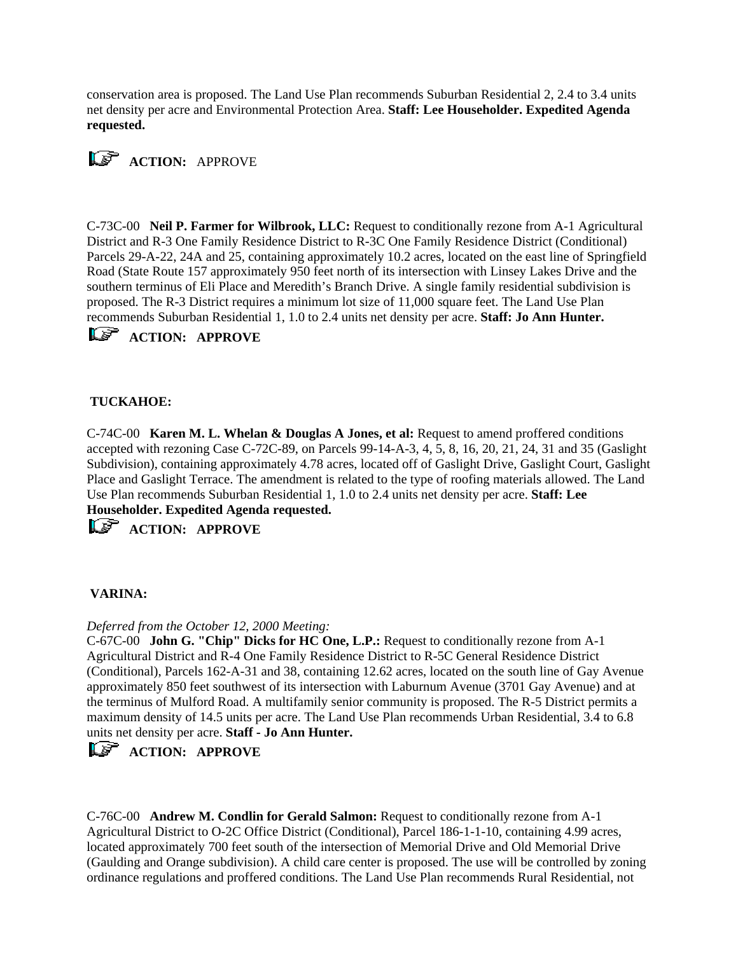conservation area is proposed. The Land Use Plan recommends Suburban Residential 2, 2.4 to 3.4 units net density per acre and Environmental Protection Area. **Staff: Lee Householder. Expedited Agenda requested.**



C-73C-00 **Neil P. Farmer for Wilbrook, LLC:** Request to conditionally rezone from A-1 Agricultural District and R-3 One Family Residence District to R-3C One Family Residence District (Conditional) Parcels 29-A-22, 24A and 25, containing approximately 10.2 acres, located on the east line of Springfield Road (State Route 157 approximately 950 feet north of its intersection with Linsey Lakes Drive and the southern terminus of Eli Place and Meredith's Branch Drive. A single family residential subdivision is proposed. The R-3 District requires a minimum lot size of 11,000 square feet. The Land Use Plan recommends Suburban Residential 1, 1.0 to 2.4 units net density per acre. **Staff: Jo Ann Hunter.** 

*ACTION: APPROVE* 

### **TUCKAHOE:**

C-74C-00 **Karen M. L. Whelan & Douglas A Jones, et al:** Request to amend proffered conditions accepted with rezoning Case C-72C-89, on Parcels 99-14-A-3, 4, 5, 8, 16, 20, 21, 24, 31 and 35 (Gaslight Subdivision), containing approximately 4.78 acres, located off of Gaslight Drive, Gaslight Court, Gaslight Place and Gaslight Terrace. The amendment is related to the type of roofing materials allowed. The Land Use Plan recommends Suburban Residential 1, 1.0 to 2.4 units net density per acre. **Staff: Lee Householder. Expedited Agenda requested.** 

*ACTION: APPROVE* 

### **VARINA:**

#### *Deferred from the October 12, 2000 Meeting:*

C-67C-00 **John G. "Chip" Dicks for HC One, L.P.:** Request to conditionally rezone from A-1 Agricultural District and R-4 One Family Residence District to R-5C General Residence District (Conditional), Parcels 162-A-31 and 38, containing 12.62 acres, located on the south line of Gay Avenue approximately 850 feet southwest of its intersection with Laburnum Avenue (3701 Gay Avenue) and at the terminus of Mulford Road. A multifamily senior community is proposed. The R-5 District permits a maximum density of 14.5 units per acre. The Land Use Plan recommends Urban Residential, 3.4 to 6.8 units net density per acre. **Staff - Jo Ann Hunter.** 

# *ACTION: APPROVE*

C-76C-00 **Andrew M. Condlin for Gerald Salmon:** Request to conditionally rezone from A-1 Agricultural District to O-2C Office District (Conditional), Parcel 186-1-1-10, containing 4.99 acres, located approximately 700 feet south of the intersection of Memorial Drive and Old Memorial Drive (Gaulding and Orange subdivision). A child care center is proposed. The use will be controlled by zoning ordinance regulations and proffered conditions. The Land Use Plan recommends Rural Residential, not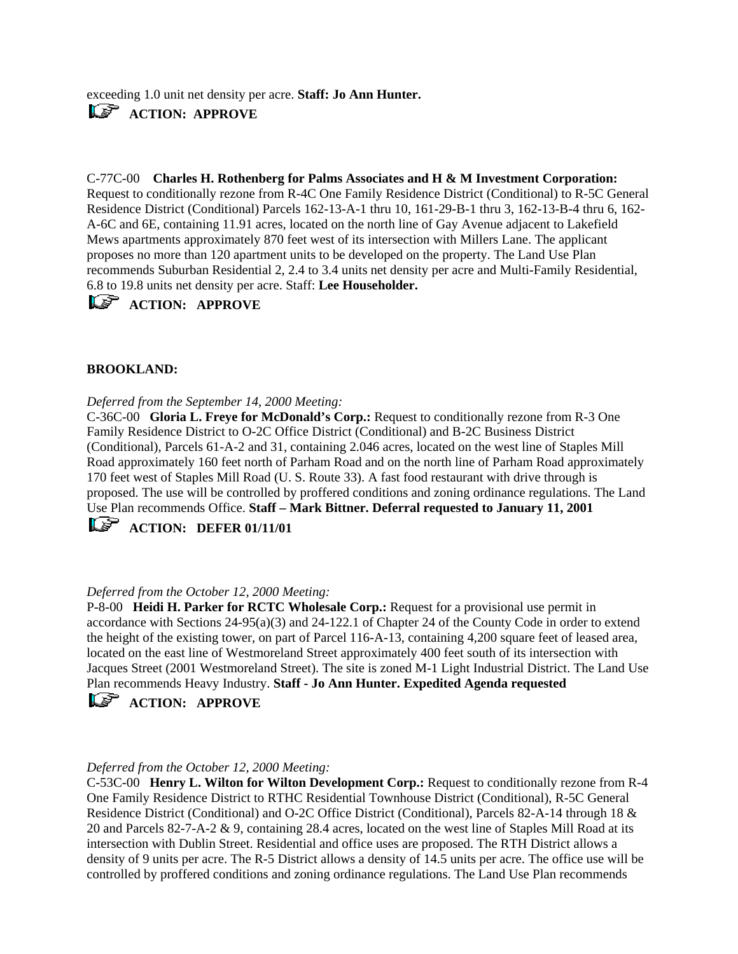exceeding 1.0 unit net density per acre. **Staff: Jo Ann Hunter.**  *ACTION: APPROVE* 

C-77C-00 **Charles H. Rothenberg for Palms Associates and H & M Investment Corporation:**  Request to conditionally rezone from R-4C One Family Residence District (Conditional) to R-5C General Residence District (Conditional) Parcels 162-13-A-1 thru 10, 161-29-B-1 thru 3, 162-13-B-4 thru 6, 162- A-6C and 6E, containing 11.91 acres, located on the north line of Gay Avenue adjacent to Lakefield Mews apartments approximately 870 feet west of its intersection with Millers Lane. The applicant proposes no more than 120 apartment units to be developed on the property. The Land Use Plan recommends Suburban Residential 2, 2.4 to 3.4 units net density per acre and Multi-Family Residential, 6.8 to 19.8 units net density per acre. Staff: **Lee Householder.** 

## *ACTION: APPROVE*

### **BROOKLAND:**

### *Deferred from the September 14, 2000 Meeting:*

C-36C-00 **Gloria L. Freye for McDonald's Corp.:** Request to conditionally rezone from R-3 One Family Residence District to O-2C Office District (Conditional) and B-2C Business District (Conditional), Parcels 61-A-2 and 31, containing 2.046 acres, located on the west line of Staples Mill Road approximately 160 feet north of Parham Road and on the north line of Parham Road approximately 170 feet west of Staples Mill Road (U. S. Route 33). A fast food restaurant with drive through is proposed. The use will be controlled by proffered conditions and zoning ordinance regulations. The Land Use Plan recommends Office. **Staff – Mark Bittner. Deferral requested to January 11, 2001** 

# *CF* ACTION: DEFER 01/11/01

### *Deferred from the October 12, 2000 Meeting:*

P-8-00 **Heidi H. Parker for RCTC Wholesale Corp.:** Request for a provisional use permit in accordance with Sections 24-95(a)(3) and 24-122.1 of Chapter 24 of the County Code in order to extend the height of the existing tower, on part of Parcel 116-A-13, containing 4,200 square feet of leased area, located on the east line of Westmoreland Street approximately 400 feet south of its intersection with Jacques Street (2001 Westmoreland Street). The site is zoned M-1 Light Industrial District. The Land Use Plan recommends Heavy Industry. **Staff - Jo Ann Hunter. Expedited Agenda requested** 

## *ACTION: APPROVE*

### *Deferred from the October 12, 2000 Meeting:*

C-53C-00 **Henry L. Wilton for Wilton Development Corp.:** Request to conditionally rezone from R-4 One Family Residence District to RTHC Residential Townhouse District (Conditional), R-5C General Residence District (Conditional) and O-2C Office District (Conditional), Parcels 82-A-14 through 18 & 20 and Parcels 82-7-A-2 & 9, containing 28.4 acres, located on the west line of Staples Mill Road at its intersection with Dublin Street. Residential and office uses are proposed. The RTH District allows a density of 9 units per acre. The R-5 District allows a density of 14.5 units per acre. The office use will be controlled by proffered conditions and zoning ordinance regulations. The Land Use Plan recommends